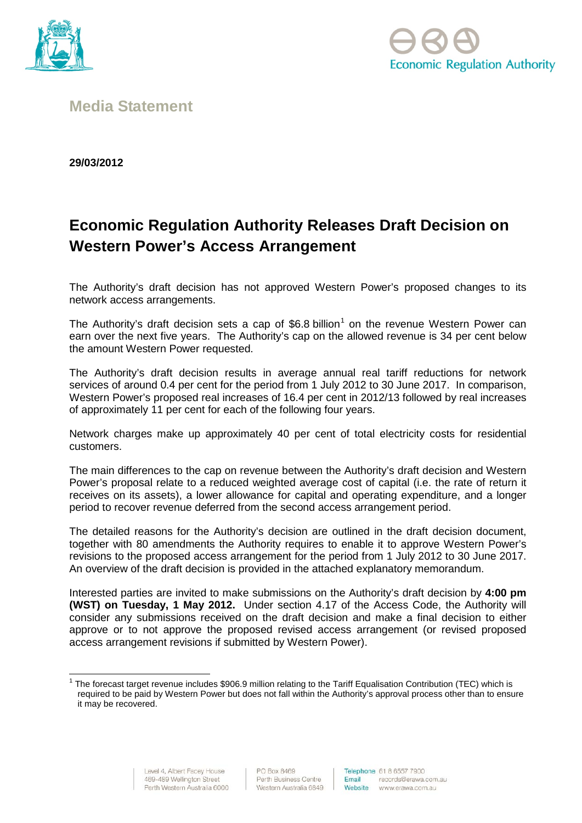



# **Media Statement**

**29/03/2012**

# **Economic Regulation Authority Releases Draft Decision on Western Power's Access Arrangement**

The Authority's draft decision has not approved Western Power's proposed changes to its network access arrangements.

The Authority's draft decision sets a cap of  $$6.8$  billion<sup>[1](#page-0-0)</sup> on the revenue Western Power can earn over the next five years. The Authority's cap on the allowed revenue is 34 per cent below the amount Western Power requested.

The Authority's draft decision results in average annual real tariff reductions for network services of around 0.4 per cent for the period from 1 July 2012 to 30 June 2017. In comparison, Western Power's proposed real increases of 16.4 per cent in 2012/13 followed by real increases of approximately 11 per cent for each of the following four years.

Network charges make up approximately 40 per cent of total electricity costs for residential customers.

The main differences to the cap on revenue between the Authority's draft decision and Western Power's proposal relate to a reduced weighted average cost of capital (i.e. the rate of return it receives on its assets), a lower allowance for capital and operating expenditure, and a longer period to recover revenue deferred from the second access arrangement period.

The detailed reasons for the Authority's decision are outlined in the draft decision document, together with 80 amendments the Authority requires to enable it to approve Western Power's revisions to the proposed access arrangement for the period from 1 July 2012 to 30 June 2017. An overview of the draft decision is provided in the attached explanatory memorandum.

Interested parties are invited to make submissions on the Authority's draft decision by **4:00 pm (WST) on Tuesday, 1 May 2012.** Under section 4.17 of the Access Code, the Authority will consider any submissions received on the draft decision and make a final decision to either approve or to not approve the proposed revised access arrangement (or revised proposed access arrangement revisions if submitted by Western Power).

<span id="page-0-0"></span> $1$  The forecast target revenue includes \$906.9 million relating to the Tariff Equalisation Contribution (TEC) which is required to be paid by Western Power but does not fall within the Authority's approval process other than to ensure it may be recovered.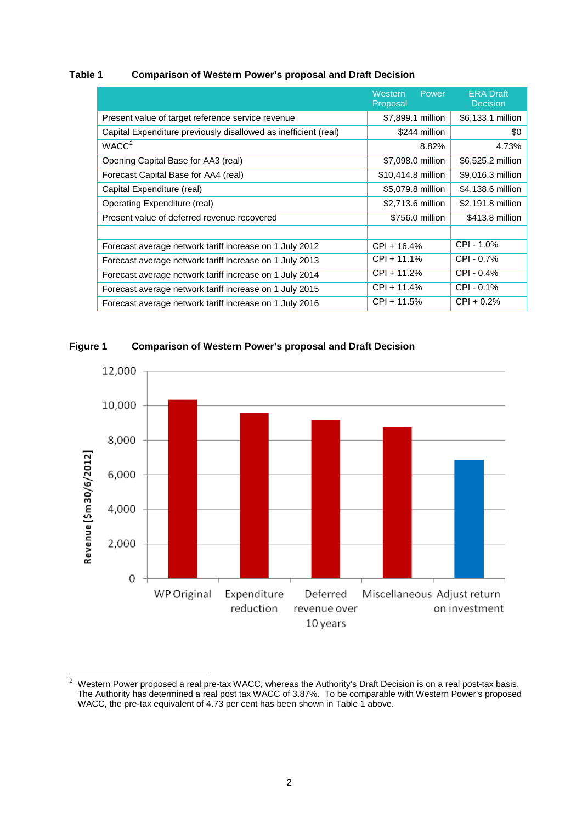#### **Table 1 Comparison of Western Power's proposal and Draft Decision**

|                                                                 | Western<br>Power<br>Proposal | <b>ERA Draft</b><br><b>Decision</b> |
|-----------------------------------------------------------------|------------------------------|-------------------------------------|
| Present value of target reference service revenue               | \$7,899.1 million            | \$6,133.1 million                   |
| Capital Expenditure previously disallowed as inefficient (real) | \$244 million                | \$0                                 |
| WACC <sup>2</sup>                                               | 8.82%                        | 4.73%                               |
| Opening Capital Base for AA3 (real)                             | \$7,098.0 million            | \$6,525.2 million                   |
| Forecast Capital Base for AA4 (real)                            | \$10,414.8 million           | \$9,016.3 million                   |
| Capital Expenditure (real)                                      | \$5,079.8 million            | \$4,138.6 million                   |
| Operating Expenditure (real)                                    | \$2,713.6 million            | \$2,191.8 million                   |
| Present value of deferred revenue recovered                     | \$756.0 million              | \$413.8 million                     |
|                                                                 |                              |                                     |
| Forecast average network tariff increase on 1 July 2012         | $CPI + 16.4%$                | CPI - 1.0%                          |
| Forecast average network tariff increase on 1 July 2013         | $CPI + 11.1%$                | $CPI - 0.7%$                        |
| Forecast average network tariff increase on 1 July 2014         | CPI + 11.2%                  | CPI - 0.4%                          |
| Forecast average network tariff increase on 1 July 2015         | CPI + 11.4%                  | $CPI - 0.1%$                        |
| Forecast average network tariff increase on 1 July 2016         | $CPI + 11.5%$                | $CPI + 0.2%$                        |



#### **Figure 1 Comparison of Western Power's proposal and Draft Decision**

<span id="page-1-0"></span><sup>&</sup>lt;sup>2</sup> Western Power proposed a real pre-tax WACC, whereas the Authority's Draft Decision is on a real post-tax basis. The Authority has determined a real post tax WACC of 3.87%. To be comparable with Western Power's proposed WACC, the pre-tax equivalent of 4.73 per cent has been shown in Table 1 above.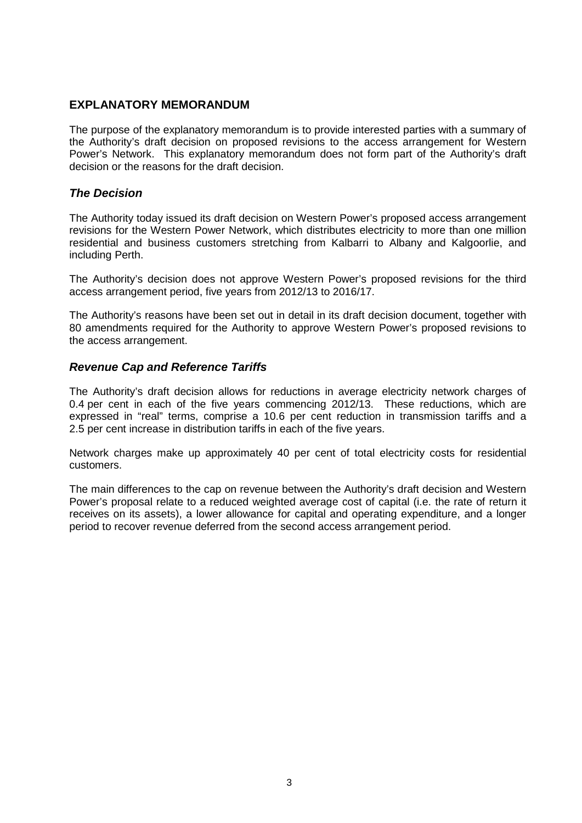# **EXPLANATORY MEMORANDUM**

The purpose of the explanatory memorandum is to provide interested parties with a summary of the Authority's draft decision on proposed revisions to the access arrangement for Western Power's Network. This explanatory memorandum does not form part of the Authority's draft decision or the reasons for the draft decision.

# *The Decision*

The Authority today issued its draft decision on Western Power's proposed access arrangement revisions for the Western Power Network, which distributes electricity to more than one million residential and business customers stretching from Kalbarri to Albany and Kalgoorlie, and including Perth.

The Authority's decision does not approve Western Power's proposed revisions for the third access arrangement period, five years from 2012/13 to 2016/17.

The Authority's reasons have been set out in detail in its draft decision document, together with 80 amendments required for the Authority to approve Western Power's proposed revisions to the access arrangement.

# *Revenue Cap and Reference Tariffs*

The Authority's draft decision allows for reductions in average electricity network charges of 0.4 per cent in each of the five years commencing 2012/13. These reductions, which are expressed in "real" terms, comprise a 10.6 per cent reduction in transmission tariffs and a 2.5 per cent increase in distribution tariffs in each of the five years.

Network charges make up approximately 40 per cent of total electricity costs for residential customers.

The main differences to the cap on revenue between the Authority's draft decision and Western Power's proposal relate to a reduced weighted average cost of capital (i.e. the rate of return it receives on its assets), a lower allowance for capital and operating expenditure, and a longer period to recover revenue deferred from the second access arrangement period.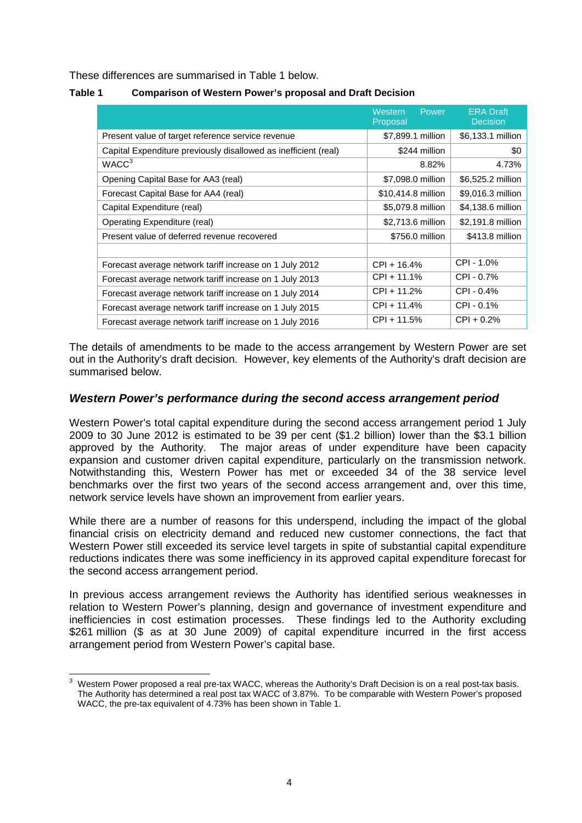These differences are summarised in Table 1 below.

| Table 1 | <b>Comparison of Western Power's proposal and Draft Decision</b> |
|---------|------------------------------------------------------------------|
|---------|------------------------------------------------------------------|

|                                                                 | Western<br>Power<br>Proposal | <b>ERA Draft</b><br><b>Decision</b> |
|-----------------------------------------------------------------|------------------------------|-------------------------------------|
| Present value of target reference service revenue               | \$7,899.1 million            | \$6,133.1 million                   |
| Capital Expenditure previously disallowed as inefficient (real) | \$244 million                | \$0                                 |
| WACC <sup>3</sup>                                               | 8.82%                        | 4.73%                               |
| Opening Capital Base for AA3 (real)                             | \$7,098.0 million            | \$6,525.2 million                   |
| Forecast Capital Base for AA4 (real)                            | \$10,414.8 million           | \$9,016.3 million                   |
| Capital Expenditure (real)                                      | \$5,079.8 million            | \$4,138.6 million                   |
| Operating Expenditure (real)                                    | \$2,713.6 million            | \$2,191.8 million                   |
| Present value of deferred revenue recovered                     | \$756.0 million              | \$413.8 million                     |
|                                                                 |                              |                                     |
| Forecast average network tariff increase on 1 July 2012         | CPI + 16.4%                  | CPI - 1.0%                          |
| Forecast average network tariff increase on 1 July 2013         | CPI + 11.1%                  | CPI - 0.7%                          |
| Forecast average network tariff increase on 1 July 2014         | CPI + 11.2%                  | $CPI - 0.4%$                        |
| Forecast average network tariff increase on 1 July 2015         | CPI + 11.4%                  | $CPI - 0.1%$                        |
| Forecast average network tariff increase on 1 July 2016         | CPI + 11.5%                  | $CPI + 0.2%$                        |

The details of amendments to be made to the access arrangement by Western Power are set out in the Authority's draft decision. However, key elements of the Authority's draft decision are summarised below.

# *Western Power's performance during the second access arrangement period*

Western Power's total capital expenditure during the second access arrangement period 1 July 2009 to 30 June 2012 is estimated to be 39 per cent (\$1.2 billion) lower than the \$3.1 billion approved by the Authority. The major areas of under expenditure have been capacity expansion and customer driven capital expenditure, particularly on the transmission network. Notwithstanding this, Western Power has met or exceeded 34 of the 38 service level benchmarks over the first two years of the second access arrangement and, over this time, network service levels have shown an improvement from earlier years.

While there are a number of reasons for this underspend, including the impact of the global financial crisis on electricity demand and reduced new customer connections, the fact that Western Power still exceeded its service level targets in spite of substantial capital expenditure reductions indicates there was some inefficiency in its approved capital expenditure forecast for the second access arrangement period.

In previous access arrangement reviews the Authority has identified serious weaknesses in relation to Western Power's planning, design and governance of investment expenditure and inefficiencies in cost estimation processes. These findings led to the Authority excluding \$261 million (\$ as at 30 June 2009) of capital expenditure incurred in the first access arrangement period from Western Power's capital base.

<span id="page-3-0"></span>Western Power proposed a real pre-tax WACC, whereas the Authority's Draft Decision is on a real post-tax basis. The Authority has determined a real post tax WACC of 3.87%. To be comparable with Western Power's proposed WACC, the pre-tax equivalent of 4.73% has been shown in Table 1.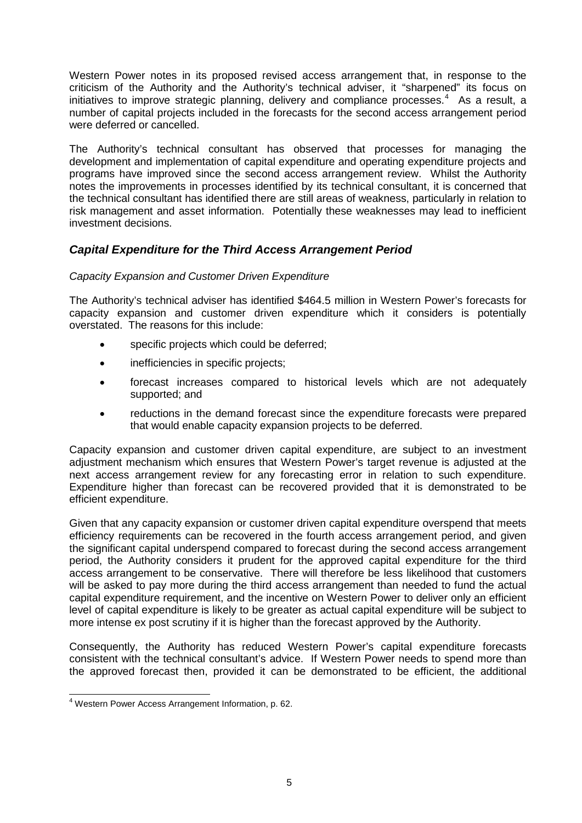Western Power notes in its proposed revised access arrangement that, in response to the criticism of the Authority and the Authority's technical adviser, it "sharpened" its focus on initiatives to improve strategic planning, delivery and compliance processes.<sup>[4](#page-4-0)</sup> As a result, a number of capital projects included in the forecasts for the second access arrangement period were deferred or cancelled.

The Authority's technical consultant has observed that processes for managing the development and implementation of capital expenditure and operating expenditure projects and programs have improved since the second access arrangement review. Whilst the Authority notes the improvements in processes identified by its technical consultant, it is concerned that the technical consultant has identified there are still areas of weakness, particularly in relation to risk management and asset information. Potentially these weaknesses may lead to inefficient investment decisions.

# *Capital Expenditure for the Third Access Arrangement Period*

#### *Capacity Expansion and Customer Driven Expenditure*

The Authority's technical adviser has identified \$464.5 million in Western Power's forecasts for capacity expansion and customer driven expenditure which it considers is potentially overstated. The reasons for this include:

- specific projects which could be deferred;
- inefficiencies in specific projects;
- forecast increases compared to historical levels which are not adequately supported; and
- reductions in the demand forecast since the expenditure forecasts were prepared that would enable capacity expansion projects to be deferred.

Capacity expansion and customer driven capital expenditure, are subject to an investment adjustment mechanism which ensures that Western Power's target revenue is adjusted at the next access arrangement review for any forecasting error in relation to such expenditure. Expenditure higher than forecast can be recovered provided that it is demonstrated to be efficient expenditure.

Given that any capacity expansion or customer driven capital expenditure overspend that meets efficiency requirements can be recovered in the fourth access arrangement period, and given the significant capital underspend compared to forecast during the second access arrangement period, the Authority considers it prudent for the approved capital expenditure for the third access arrangement to be conservative. There will therefore be less likelihood that customers will be asked to pay more during the third access arrangement than needed to fund the actual capital expenditure requirement, and the incentive on Western Power to deliver only an efficient level of capital expenditure is likely to be greater as actual capital expenditure will be subject to more intense ex post scrutiny if it is higher than the forecast approved by the Authority.

Consequently, the Authority has reduced Western Power's capital expenditure forecasts consistent with the technical consultant's advice. If Western Power needs to spend more than the approved forecast then, provided it can be demonstrated to be efficient, the additional

<span id="page-4-0"></span> <sup>4</sup> Western Power Access Arrangement Information, p. 62.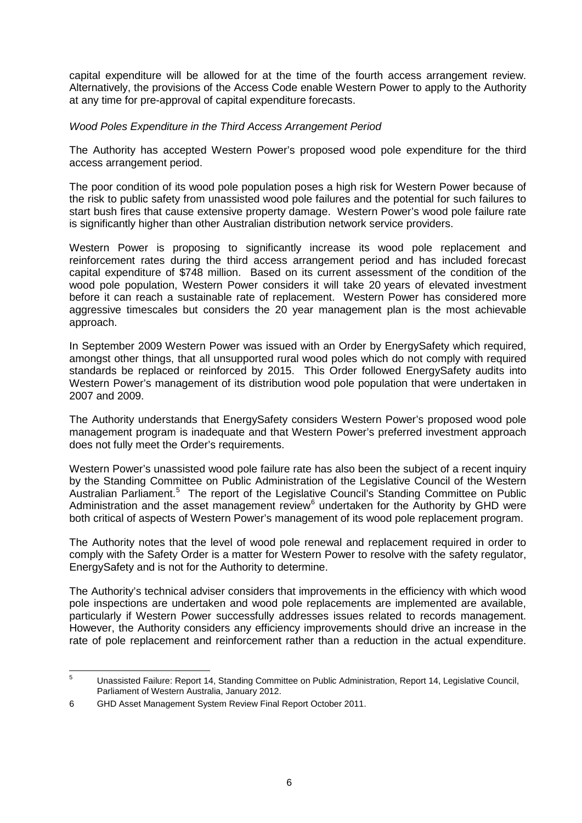capital expenditure will be allowed for at the time of the fourth access arrangement review. Alternatively, the provisions of the Access Code enable Western Power to apply to the Authority at any time for pre-approval of capital expenditure forecasts.

#### *Wood Poles Expenditure in the Third Access Arrangement Period*

The Authority has accepted Western Power's proposed wood pole expenditure for the third access arrangement period.

The poor condition of its wood pole population poses a high risk for Western Power because of the risk to public safety from unassisted wood pole failures and the potential for such failures to start bush fires that cause extensive property damage. Western Power's wood pole failure rate is significantly higher than other Australian distribution network service providers.

Western Power is proposing to significantly increase its wood pole replacement and reinforcement rates during the third access arrangement period and has included forecast capital expenditure of \$748 million. Based on its current assessment of the condition of the wood pole population, Western Power considers it will take 20 years of elevated investment before it can reach a sustainable rate of replacement. Western Power has considered more aggressive timescales but considers the 20 year management plan is the most achievable approach.

In September 2009 Western Power was issued with an Order by EnergySafety which required, amongst other things, that all unsupported rural wood poles which do not comply with required standards be replaced or reinforced by 2015. This Order followed EnergySafety audits into Western Power's management of its distribution wood pole population that were undertaken in 2007 and 2009.

The Authority understands that EnergySafety considers Western Power's proposed wood pole management program is inadequate and that Western Power's preferred investment approach does not fully meet the Order's requirements.

Western Power's unassisted wood pole failure rate has also been the subject of a recent inquiry by the Standing Committee on Public Administration of the Legislative Council of the Western Australian Parliament.<sup>[5](#page-5-0)</sup> The report of the Legislative Council's Standing Committee on Public Administration and the asset management review<sup>[6](#page-5-1)</sup> undertaken for the Authority by GHD were both critical of aspects of Western Power's management of its wood pole replacement program.

The Authority notes that the level of wood pole renewal and replacement required in order to comply with the Safety Order is a matter for Western Power to resolve with the safety regulator, EnergySafety and is not for the Authority to determine.

The Authority's technical adviser considers that improvements in the efficiency with which wood pole inspections are undertaken and wood pole replacements are implemented are available, particularly if Western Power successfully addresses issues related to records management. However, the Authority considers any efficiency improvements should drive an increase in the rate of pole replacement and reinforcement rather than a reduction in the actual expenditure.

<span id="page-5-0"></span> <sup>5</sup> Unassisted Failure: Report 14, Standing Committee on Public Administration, Report 14, Legislative Council, Parliament of Western Australia, January 2012.

<span id="page-5-1"></span><sup>6</sup> GHD Asset Management System Review Final Report October 2011.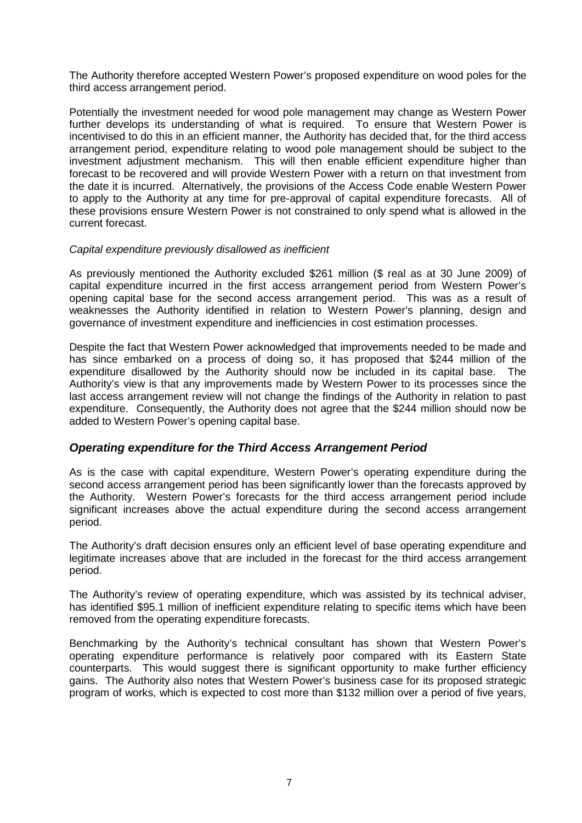The Authority therefore accepted Western Power's proposed expenditure on wood poles for the third access arrangement period.

Potentially the investment needed for wood pole management may change as Western Power further develops its understanding of what is required. To ensure that Western Power is incentivised to do this in an efficient manner, the Authority has decided that, for the third access arrangement period, expenditure relating to wood pole management should be subject to the investment adjustment mechanism. This will then enable efficient expenditure higher than forecast to be recovered and will provide Western Power with a return on that investment from the date it is incurred. Alternatively, the provisions of the Access Code enable Western Power to apply to the Authority at any time for pre-approval of capital expenditure forecasts. All of these provisions ensure Western Power is not constrained to only spend what is allowed in the current forecast.

#### *Capital expenditure previously disallowed as inefficient*

As previously mentioned the Authority excluded \$261 million (\$ real as at 30 June 2009) of capital expenditure incurred in the first access arrangement period from Western Power's opening capital base for the second access arrangement period. This was as a result of weaknesses the Authority identified in relation to Western Power's planning, design and governance of investment expenditure and inefficiencies in cost estimation processes.

Despite the fact that Western Power acknowledged that improvements needed to be made and has since embarked on a process of doing so, it has proposed that \$244 million of the expenditure disallowed by the Authority should now be included in its capital base. The Authority's view is that any improvements made by Western Power to its processes since the last access arrangement review will not change the findings of the Authority in relation to past expenditure. Consequently, the Authority does not agree that the \$244 million should now be added to Western Power's opening capital base.

#### *Operating expenditure for the Third Access Arrangement Period*

As is the case with capital expenditure, Western Power's operating expenditure during the second access arrangement period has been significantly lower than the forecasts approved by the Authority. Western Power's forecasts for the third access arrangement period include significant increases above the actual expenditure during the second access arrangement period.

The Authority's draft decision ensures only an efficient level of base operating expenditure and legitimate increases above that are included in the forecast for the third access arrangement period.

The Authority's review of operating expenditure, which was assisted by its technical adviser, has identified \$95.1 million of inefficient expenditure relating to specific items which have been removed from the operating expenditure forecasts.

Benchmarking by the Authority's technical consultant has shown that Western Power's operating expenditure performance is relatively poor compared with its Eastern State counterparts. This would suggest there is significant opportunity to make further efficiency gains. The Authority also notes that Western Power's business case for its proposed strategic program of works, which is expected to cost more than \$132 million over a period of five years,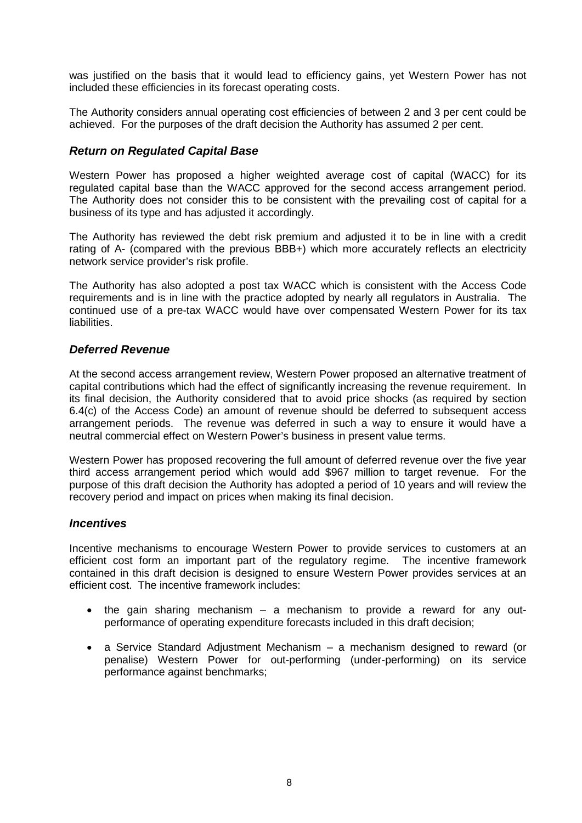was justified on the basis that it would lead to efficiency gains, yet Western Power has not included these efficiencies in its forecast operating costs.

The Authority considers annual operating cost efficiencies of between 2 and 3 per cent could be achieved. For the purposes of the draft decision the Authority has assumed 2 per cent.

# *Return on Regulated Capital Base*

Western Power has proposed a higher weighted average cost of capital (WACC) for its regulated capital base than the WACC approved for the second access arrangement period. The Authority does not consider this to be consistent with the prevailing cost of capital for a business of its type and has adjusted it accordingly.

The Authority has reviewed the debt risk premium and adjusted it to be in line with a credit rating of A- (compared with the previous BBB+) which more accurately reflects an electricity network service provider's risk profile.

The Authority has also adopted a post tax WACC which is consistent with the Access Code requirements and is in line with the practice adopted by nearly all regulators in Australia. The continued use of a pre-tax WACC would have over compensated Western Power for its tax liabilities.

#### *Deferred Revenue*

At the second access arrangement review, Western Power proposed an alternative treatment of capital contributions which had the effect of significantly increasing the revenue requirement. In its final decision, the Authority considered that to avoid price shocks (as required by section 6.4(c) of the Access Code) an amount of revenue should be deferred to subsequent access arrangement periods. The revenue was deferred in such a way to ensure it would have a neutral commercial effect on Western Power's business in present value terms.

Western Power has proposed recovering the full amount of deferred revenue over the five year third access arrangement period which would add \$967 million to target revenue. For the purpose of this draft decision the Authority has adopted a period of 10 years and will review the recovery period and impact on prices when making its final decision.

#### *Incentives*

Incentive mechanisms to encourage Western Power to provide services to customers at an efficient cost form an important part of the regulatory regime. The incentive framework contained in this draft decision is designed to ensure Western Power provides services at an efficient cost. The incentive framework includes:

- the gain sharing mechanism a mechanism to provide a reward for any outperformance of operating expenditure forecasts included in this draft decision;
- a Service Standard Adjustment Mechanism a mechanism designed to reward (or penalise) Western Power for out-performing (under-performing) on its service performance against benchmarks;